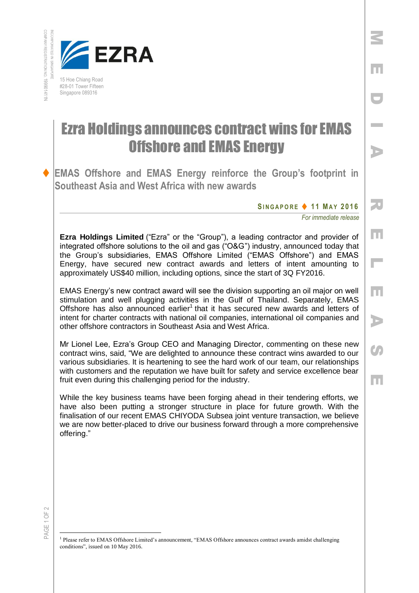COMPANY REGISTRATION INCORPORATED IN SINGAPORE INCORPORATED IN SINGRADOR NO. 199901411N



#28-01 Tower Fifteen Singapore 089316

## Ezra Holdings announces contract wins for EMAS Offshore and EMAS Energy

 **EMAS Offshore and EMAS Energy reinforce the Group's footprint in Southeast Asia and West Africa with new awards**

**SI N G A P O R E 1 1 MA Y 2016**

*For immediate release* 

M

E

D

**Inches** 

A

R

E

 $\overline{\mathbb{L}}$ 

E

A

**CA** 

E

**Ezra Holdings Limited** ("Ezra" or the "Group"), a leading contractor and provider of integrated offshore solutions to the oil and gas ("O&G") industry, announced today that the Group's subsidiaries, EMAS Offshore Limited ("EMAS Offshore") and EMAS Energy, have secured new contract awards and letters of intent amounting to approximately US\$40 million, including options, since the start of 3Q FY2016.

EMAS Energy's new contract award will see the division supporting an oil major on well stimulation and well plugging activities in the Gulf of Thailand. Separately, EMAS Offshore has also announced earlier<sup>1</sup> that it has secured new awards and letters of intent for charter contracts with national oil companies, international oil companies and other offshore contractors in Southeast Asia and West Africa.

Mr Lionel Lee, Ezra's Group CEO and Managing Director, commenting on these new contract wins, said, "We are delighted to announce these contract wins awarded to our various subsidiaries. It is heartening to see the hard work of our team, our relationships with customers and the reputation we have built for safety and service excellence bear fruit even during this challenging period for the industry.

While the key business teams have been forging ahead in their tendering efforts, we have also been putting a stronger structure in place for future growth. With the finalisation of our recent EMAS CHIYODA Subsea joint venture transaction, we believe we are now better-placed to drive our business forward through a more comprehensive offering."

PAGE 1 OF 2

 $\overline{a}$ 

<sup>&</sup>lt;sup>1</sup> Please refer to EMAS Offshore Limited's announcement, "EMAS Offshore announces contract awards amidst challenging conditions", issued on 10 May 2016.